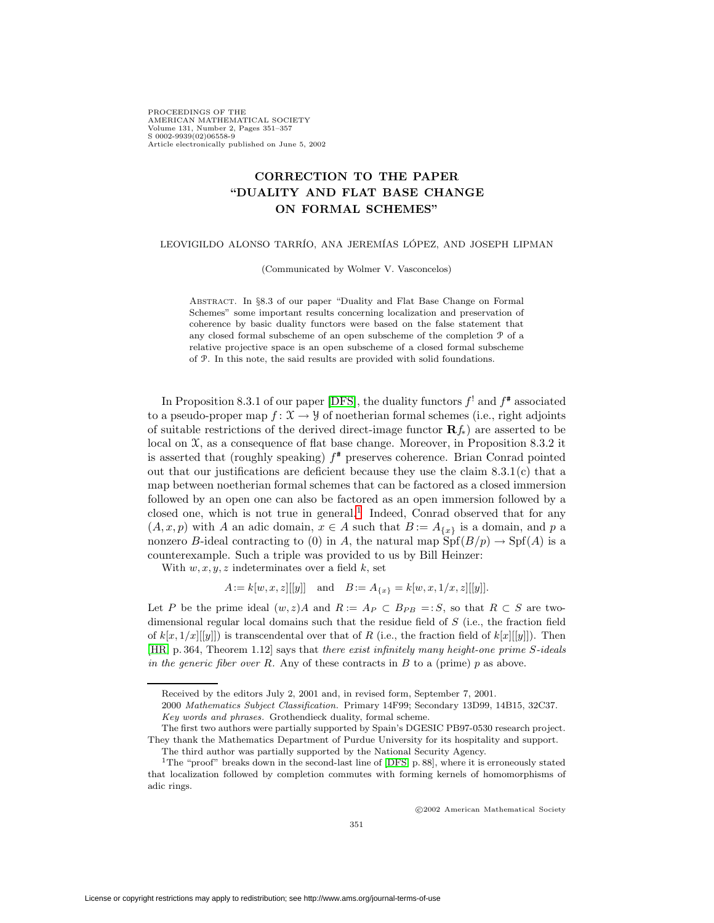PROCEEDINGS OF THE AMERICAN MATHEMATICAL SOCIETY Volume 131, Number 2, Pages 351–357 S 0002-9939(02)06558-9 Article electronically published on June 5, 2002

## **CORRECTION TO THE PAPER "DUALITY AND FLAT BASE CHANGE ON FORMAL SCHEMES"**

## LEOVIGILDO ALONSO TARRÍO, ANA JEREMÍAS LÓPEZ, AND JOSEPH LIPMAN

(Communicated by Wolmer V. Vasconcelos)

Abstract. In §8.3 of our paper "Duality and Flat Base Change on Formal Schemes" some important results concerning localization and preservation of coherence by basic duality functors were based on the false statement that any closed formal subscheme of an open subscheme of the completion <sup>P</sup> of a relative projective space is an open subscheme of a closed formal subscheme of <sup>P</sup>. In this note, the said results are provided with solid foundations.

In Proposition 8.3.1 of our paper [\[DFS\]](#page-6-0), the duality functors  $f^!$  and  $f^*$  associated to a pseudo-proper map  $f: \mathfrak{X} \to \mathcal{Y}$  of noetherian formal schemes (i.e., right adjoints of suitable restrictions of the derived direct-image functor **R**f∗) are asserted to be local on  $\mathfrak{X}$ , as a consequence of flat base change. Moreover, in Proposition 8.3.2 it is asserted that (roughly speaking)  $f^*$  preserves coherence. Brian Conrad pointed out that our justifications are deficient because they use the claim  $8.3.1(c)$  that a map between noetherian formal schemes that can be factored as a closed immersion followed by an open one can also be factored as an open immersion followed by a closed one, which is not true in general.<sup>[1](#page-0-0)</sup> Indeed, Conrad observed that for any  $(A, x, p)$  with A an adic domain,  $x \in A$  such that  $B := A_{\{x\}}$  is a domain, and p a nonzero B-ideal contracting to (0) in A, the natural map  $\text{Spf}(B/p) \to \text{Spf}(A)$  is a counterexample. Such a triple was provided to us by Bill Heinzer:

With  $w, x, y, z$  indeterminates over a field k, set

 $A := k[w, x, z][[y]]$  and  $B := A_{\{x\}} = k[w, x, 1/x, z][[y]]$ .

Let P be the prime ideal  $(w, z)A$  and  $R := A_P \subset B_{PB} = :S$ , so that  $R \subset S$  are twodimensional regular local domains such that the residue field of S (i.e., the fraction field of  $k[x, 1/x][[y]]$  is transcendental over that of R (i.e., the fraction field of  $k[x][[y]]$ ). Then [\[HR,](#page-6-1) p. 364, Theorem 1.12] says that there exist infinitely many height-one prime S-ideals in the generic fiber over R. Any of these contracts in B to a (prime) p as above.

c 2002 American Mathematical Society

Received by the editors July 2, 2001 and, in revised form, September 7, 2001.

<sup>2000</sup> Mathematics Subject Classification. Primary 14F99; Secondary 13D99, 14B15, 32C37. Key words and phrases. Grothendieck duality, formal scheme.

The first two authors were partially supported by Spain's DGESIC PB97-0530 research project. They thank the Mathematics Department of Purdue University for its hospitality and support.

The third author was partially supported by the National Security Agency.

<span id="page-0-0"></span><sup>&</sup>lt;sup>1</sup>The "proof" breaks down in the second-last line of [\[DFS,](#page-6-0) p. 88], where it is erroneously stated that localization followed by completion commutes with forming kernels of homomorphisms of adic rings.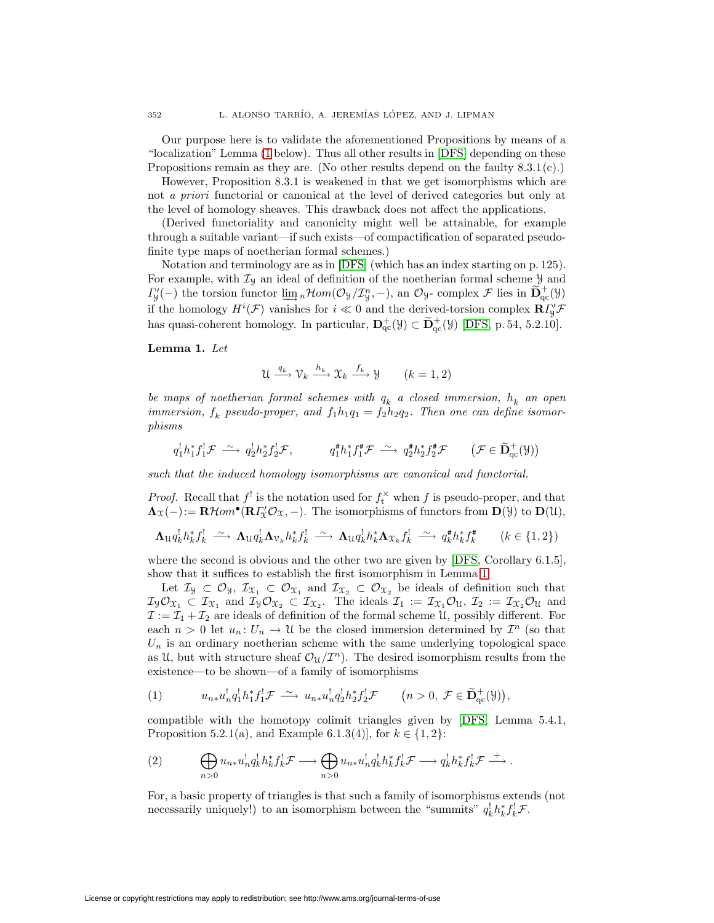Our purpose here is to validate the aforementioned Propositions by means of a "localization" Lemma [\(1](#page-1-0) below). Thus all other results in [\[DFS\]](#page-6-0) depending on these Propositions remain as they are. (No other results depend on the faulty  $8.3.1(c)$ .)

However, Proposition 8.3.1 is weakened in that we get isomorphisms which are not a priori functorial or canonical at the level of derived categories but only at the level of homology sheaves. This drawback does not affect the applications.

(Derived functoriality and canonicity might well be attainable, for example through a suitable variant—if such exists—of compactification of separated pseudofinite type maps of noetherian formal schemes.)

Notation and terminology are as in [\[DFS\]](#page-6-0) (which has an index starting on p. 125). For example, with  $\mathcal{I}_y$  an ideal of definition of the noetherian formal scheme  $\mathcal{Y}$  and  $\Gamma_{y}'(-)$  the torsion functor  $\underline{\lim}_{n} n \mathcal{H}om(\mathcal{O}_{y}/\mathcal{I}_{y}^{n}, -)$ , an  $\mathcal{O}_{y}$ - complex  $\mathcal{F}$  lies in  $\widetilde{\mathbf{D}}_{qc}^{+}(y)$ if the homology  $H^i(\mathcal{F})$  vanishes for  $i \ll 0$  and the derived-torsion complex  $\mathbf{R}\Gamma'_{y}\mathcal{F}$ has quasi-coherent homology. In particular,  $\mathbf{D}_{qc}^+(\mathcal{Y}) \subset \widetilde{\mathbf{D}}_{qc}^+(\mathcal{Y})$  [\[DFS,](#page-6-0) p. 54, 5.2.10].

<span id="page-1-0"></span>**Lemma 1.** Let

$$
\mathcal{U} \xrightarrow{q_k} \mathcal{V}_k \xrightarrow{h_k} \mathcal{X}_k \xrightarrow{f_k} \mathcal{Y} \qquad (k = 1, 2)
$$

be maps of noetherian formal schemes with  $q_k$  a closed immersion,  $h_k$  an open immersion,  $f_k$  pseudo-proper, and  $f_1h_1q_1 = f_2h_2q_2$ . Then one can define isomorphisms

$$
q_1^1 h_1^* f_1^! \mathcal{F} \stackrel{\sim}{\longrightarrow} q_2^1 h_2^* f_2^! \mathcal{F}, \qquad q_1^* h_1^* f_1^* \mathcal{F} \stackrel{\sim}{\longrightarrow} q_2^* h_2^* f_2^* \mathcal{F} \qquad (\mathcal{F} \in \widetilde{\mathbf{D}}_{\mathrm{qc}}^+(\mathcal{Y}))
$$

such that the induced homology isomorphisms are canonical and functorial.

*Proof.* Recall that  $f'$  is the notation used for  $f_t^{\times}$  when f is pseudo-proper, and that  $\Lambda_X(-): = \mathbf{R}\mathcal{H}om^{\bullet}(\mathbf{R}\Gamma_{\!\!X}'\mathcal{O}_X, -).$  The isomorphisms of functors from  $\mathbf{D}(\mathcal{Y})$  to  $\mathbf{D}(\mathcal{U}),$ 

$$
\mathbf{\Lambda}_{\mathcal{U}}q_k^l h_k^* f_k^! \xrightarrow{\sim} \mathbf{\Lambda}_{\mathcal{U}}q_k^l \mathbf{\Lambda}_{\mathcal{V}_k} h_k^* f_k^! \xrightarrow{\sim} \mathbf{\Lambda}_{\mathcal{U}}q_k^l h_k^* \mathbf{\Lambda}_{\mathcal{X}_k} f_k^! \xrightarrow{\sim} q_k^* h_k^* f_k^* \qquad (k \in \{1, 2\})
$$

where the second is obvious and the other two are given by [\[DFS,](#page-6-0) Corollary 6.1.5], show that it suffices to establish the first isomorphism in Lemma [1.](#page-1-0)

Let  $\mathcal{I}_y \subset \mathcal{O}_y$ ,  $\mathcal{I}_{\mathfrak{X}_1} \subset \mathcal{O}_{\mathfrak{X}_1}$  and  $\mathcal{I}_{\mathfrak{X}_2} \subset \mathcal{O}_{\mathfrak{X}_2}$  be ideals of definition such that  $\mathcal{I}_{\mathcal{Y}}\mathcal{O}_{\mathfrak{X}_1} \subset \mathcal{I}_{\mathfrak{X}_1}$  and  $\mathcal{I}_{\mathcal{Y}}\mathcal{O}_{\mathfrak{X}_2} \subset \mathcal{I}_{\mathfrak{X}_2}$ . The ideals  $\mathcal{I}_1 := \mathcal{I}_{\mathfrak{X}_1}\mathcal{O}_{\mathfrak{U}}$ ,  $\mathcal{I}_2 := \mathcal{I}_{\mathfrak{X}_2}\mathcal{O}_{\mathfrak{U}}$  and  $\mathcal{I} := \mathcal{I}_1 + \mathcal{I}_2$  are ideals of definition of the formal scheme U, possibly different. For each  $n > 0$  let  $u_n : U_n \to \mathcal{U}$  be the closed immersion determined by  $\mathcal{I}^n$  (so that  $U_n$  is an ordinary noetherian scheme with the same underlying topological space as U, but with structure sheaf  $\mathcal{O}_\mathcal{U}/\mathcal{I}^n$ . The desired isomorphism results from the existence—to be shown—of a family of isomorphisms

<span id="page-1-1"></span>
$$
(1) \t u_{n*}u_n^!q_1^!h_1^*f_1^!\mathcal{F} \xrightarrow{\sim} u_{n*}u_n^!q_2^!h_2^*f_2^!\mathcal{F} \t (n>0,\ \mathcal{F}\in\widetilde{\mathbf{D}}_{\mathrm{qc}}^+(\mathcal{Y})),
$$

<span id="page-1-2"></span>compatible with the homotopy colimit triangles given by [\[DFS,](#page-6-0) Lemma 5.4.1, Proposition 5.2.1(a), and Example 6.1.3(4)], for  $k \in \{1, 2\}$ :

(2) 
$$
\bigoplus_{n>0} u_{n*} u_n^! q_k^! h_k^* f_k^! \mathcal{F} \longrightarrow \bigoplus_{n>0} u_{n*} u_n^! q_k^! h_k^* f_k^! \mathcal{F} \longrightarrow q_k^! h_k^* f_k^! \mathcal{F} \longrightarrow.
$$

For, a basic property of triangles is that such a family of isomorphisms extends (not necessarily uniquely!) to an isomorphism between the "summits"  $q_k^{\dagger} h_k^* f_k^{\dagger} \mathcal{F}$ .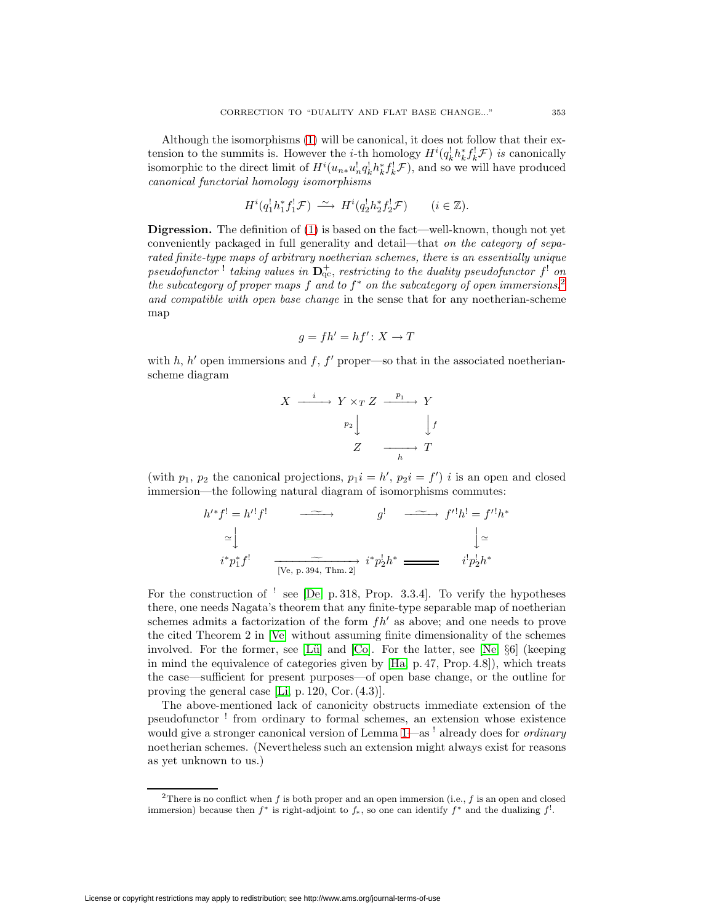Although the isomorphisms [\(1\)](#page-1-1) will be canonical, it does not follow that their extension to the summits is. However the *i*-th homology  $H^{i}(q_{k}^{l}h_{k}^{*}f_{k}^{l}\mathcal{F})$  is canonically isomorphic to the direct limit of  $H^i(u_{n*}u_n^l q_k^l h_k^* f_k^l \mathcal{F})$ , and so we will have produced canonical functorial homology isomorphisms

$$
H^i(q_1^! h_1^* f_1^! \mathcal{F}) \longrightarrow H^i(q_2^! h_2^* f_2^! \mathcal{F}) \qquad (i \in \mathbb{Z}).
$$

**Digression.** The definition of [\(1\)](#page-1-1) is based on the fact—well-known, though not yet conveniently packaged in full generality and detail—that on the category of separated finite-type maps of arbitrary noetherian schemes, there is an essentially unique  $pseudofunctor$ <sup>1</sup> taking values in  $\mathbf{D}_{\text{qc}}^+$ , restricting to the duality pseudofunctor  $f^!$  on the subcategory of proper maps f and to  $f^*$  on the subcategory of open immersions,<sup>[2](#page-2-0)</sup> and compatible with open base change in the sense that for any noetherian-scheme map

$$
g = fh' = hf' \colon X \to T
$$

with h, h' open immersions and f, f' proper—so that in the associated noetherianscheme diagram

$$
X \xrightarrow{i} Y \times_T Z \xrightarrow{p_1} Y
$$

$$
p_2 \downarrow \qquad \qquad \downarrow f
$$

$$
Z \xrightarrow[h]{}
$$

(with  $p_1, p_2$  the canonical projections,  $p_1 i = h', p_2 i = f'$ ) i is an open and closed immersion—the following natural diagram of isomorphisms commutes:

$$
h^{*}f^{!} = h^{\prime}f^{!} \longrightarrow g^{!} \longrightarrow f^{\prime}h^{!} = f^{\prime}h^{*}
$$

$$
\simeq \downarrow \qquad \qquad \downarrow \simeq
$$

$$
i^{*}p_{1}^{*}f^{!} \longrightarrow \sim \sim \sim \sim \sim i^{*}p_{2}^{!}h^{*} \longrightarrow i^{*}p_{2}^{!}h^{*}
$$

For the construction of  $\frac{1}{1}$  see [\[De,](#page-6-2) p. 318, Prop. 3.3.4]. To verify the hypotheses there, one needs Nagata's theorem that any finite-type separable map of noetherian schemes admits a factorization of the form  $fh'$  as above; and one needs to prove the cited Theorem 2 in [\[Ve\]](#page-6-3) without assuming finite dimensionality of the schemes involved. For the former, see [Lü] and  $[Co]$ . For the latter, see [\[Ne,](#page-6-6)  $\S6$ ] (keeping in mind the equivalence of categories given by [\[Ha,](#page-6-7) p. 47, Prop. 4.8]), which treats the case—sufficient for present purposes—of open base change, or the outline for proving the general case [\[Li,](#page-6-8) p. 120, Cor. (4.3)].

The above-mentioned lack of canonicity obstructs immediate extension of the pseudofunctor ! from ordinary to formal schemes, an extension whose existence would give a stronger canonical version of Lemma [1—](#page-1-0)as <sup>!</sup> already does for *ordinary* noetherian schemes. (Nevertheless such an extension might always exist for reasons as yet unknown to us.)

<span id="page-2-0"></span><sup>&</sup>lt;sup>2</sup>There is no conflict when f is both proper and an open immersion (i.e., f is an open and closed immersion) because then  $f^*$  is right-adjoint to  $f_*$ , so one can identify  $f^*$  and the dualizing  $f^!$ .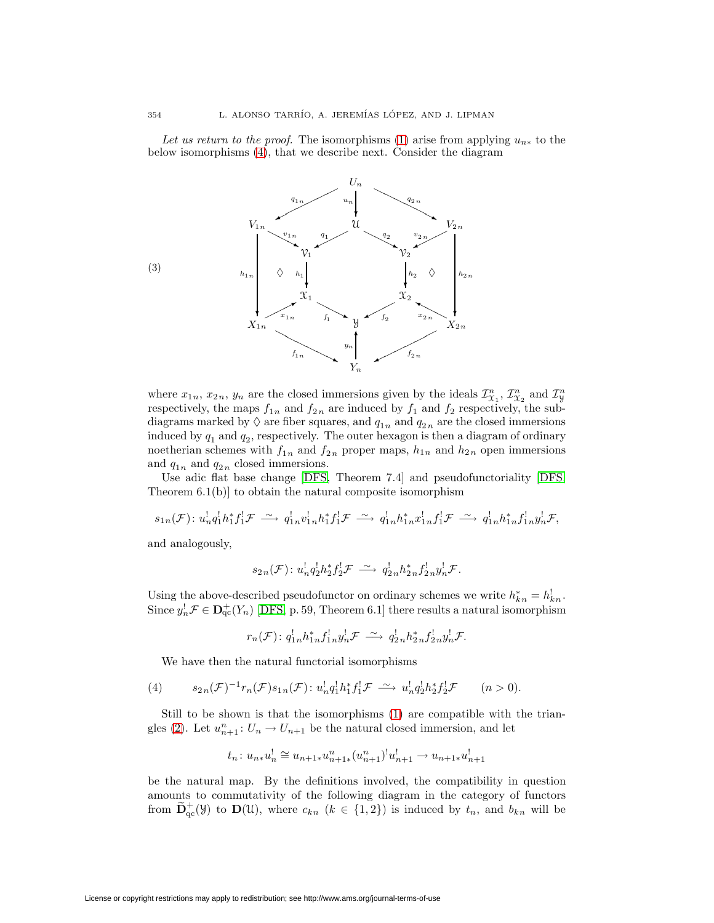Let us return to the proof. The isomorphisms [\(1\)](#page-1-1) arise from applying  $u_{n*}$  to the below isomorphisms [\(4\)](#page-3-0), that we describe next. Consider the diagram



where  $x_{1n}$ ,  $x_{2n}$ ,  $y_n$  are the closed immersions given by the ideals  $\mathcal{I}_{\mathcal{X}_1}^n$ ,  $\mathcal{I}_{\mathcal{X}_2}^n$  and  $\mathcal{I}_{\mathcal{Y}}^n$ respectively, the maps  $f_{1n}$  and  $f_{2n}$  are induced by  $f_1$  and  $f_2$  respectively, the subdiagrams marked by  $\Diamond$  are fiber squares, and  $q_{1n}$  and  $q_{2n}$  are the closed immersions induced by  $q_1$  and  $q_2$ , respectively. The outer hexagon is then a diagram of ordinary noetherian schemes with  $f_{1n}$  and  $f_{2n}$  proper maps,  $h_{1n}$  and  $h_{2n}$  open immersions and  $q_{1n}$  and  $q_{2n}$  closed immersions.

Use adic flat base change [\[DFS,](#page-6-0) Theorem 7.4] and pseudofunctoriality [\[DFS,](#page-6-0) Theorem 6.1(b)] to obtain the natural composite isomorphism

$$
s_{1n}(\mathcal{F})\colon u_n^!q_1^!h_1^*f_1^!\mathcal{F} \stackrel{\sim}{\longrightarrow} q_{1n}^!v_{1n}^!h_1^*f_1^!\mathcal{F} \stackrel{\sim}{\longrightarrow} q_{1n}^!h_{1n}^*x_{1n}^!f_1^!\mathcal{F} \stackrel{\sim}{\longrightarrow} q_{1n}^!h_{1n}^*f_{1n}^!y_n^!\mathcal{F},
$$

and analogously,

$$
s_{2n}(\mathcal{F})\colon u_n^!q_2^!h_2^*f_2^!\mathcal{F}\stackrel{\sim}{\longrightarrow} q_{2n}^!h_{2n}^*f_{2n}^!y_n^!\mathcal{F}.
$$

Using the above-described pseudofunctor on ordinary schemes we write  $h_{kn}^* = h_{kn}^!$ . Since  $y_n^! \mathcal{F} \in \mathbf{D}_{\mathrm{qc}}^+(Y_n)$  [\[DFS,](#page-6-0) p. 59, Theorem 6.1] there results a natural isomorphism

$$
r_n(\mathcal{F})\colon q^!_{1n}h^*_{1n}f^!_{1n}y^!_n\mathcal{F}\ \stackrel{\sim}{\longrightarrow}\ q^!_{2n}h^*_{2n}f^!_{2n}y^!_n\mathcal{F}.
$$

We have then the natural functorial isomorphisms

<span id="page-3-0"></span>(4) 
$$
s_{2n}(\mathcal{F})^{-1}r_n(\mathcal{F})s_{1n}(\mathcal{F})\colon u_n^1q_1^1h_1^*f_1^1\mathcal{F} \xrightarrow{\sim} u_n^1q_2^1h_2^*f_2^1\mathcal{F} \qquad (n>0).
$$

Still to be shown is that the isomorphisms [\(1\)](#page-1-1) are compatible with the trian-gles [\(2\)](#page-1-2). Let  $u_{n+1}^n: U_n \to U_{n+1}$  be the natural closed immersion, and let

$$
t_n: u_{n*}u_n^! \cong u_{n+1*}u_{n+1*}^n(u_{n+1}^n)^!u_{n+1}^! \to u_{n+1*}u_{n+1}^!
$$

be the natural map. By the definitions involved, the compatibility in question amounts to commutativity of the following diagram in the category of functors from  $\widetilde{\mathbf{D}}_{\text{qc}}^+(\mathcal{Y})$  to  $\mathbf{D}(\mathcal{U})$ , where  $c_{kn}$  ( $k \in \{1,2\}$ ) is induced by  $t_n$ , and  $b_{kn}$  will be

<span id="page-3-1"></span>(3)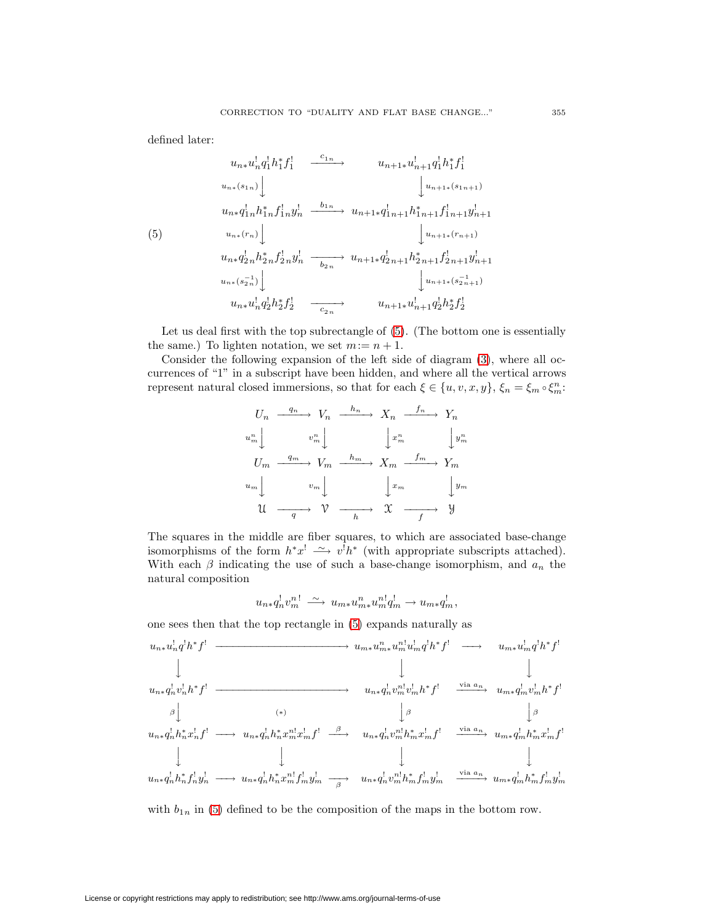defined later:

<span id="page-4-0"></span>
$$
u_{n*}u_n^{1}q_1^{1}h_1^{*}f_1^{1} \xrightarrow{c_{1n}} u_{n+1*}u_{n+1}^{1}q_1^{1}h_1^{*}f_1^{1}
$$
  
\n
$$
u_{n*}(s_{1n}) \bigcup_{u_{n*}q_1^{1}h_1^{*}h_1^{*}h_1^{*}f_1^{1}u_1^{1}} u_{n+1*}(s_{1n+1})
$$
  
\n
$$
u_{n*}q_1^{1}h_1^{*}h_1^{*}f_1^{1}u_1^{1} \xrightarrow{b_{1n}} u_{n+1*}q_{1n+1}^{1}h_{1n+1}^{*}f_{1n+1}^{1}y_{n+1}^{1}
$$
  
\n(5) 
$$
u_{n*}(r_n) \bigcup_{u_{n*}q_2^{1}h_2^{*}h_2^{*}h_1^{*}} \xrightarrow{b_{2n}} u_{n+1*}q_{2n+1}^{1}h_{2n+1}^{*}f_{2n+1}^{1}y_{n+1}^{1}
$$
  
\n
$$
u_{n*}(s_{2n}^{-1}) \bigcup_{u_{n*}u_{n}^{1}q_{2}^{1}h_2^{*}f_2^{1}} \xrightarrow{c_{2n}} u_{n+1*}u_{n+1}^{1}q_{2}^{1}h_2^{*}f_2^{1}
$$

Let us deal first with the top subrectangle of [\(5\)](#page-4-0). (The bottom one is essentially the same.) To lighten notation, we set  $m:= n+1$ .

Consider the following expansion of the left side of diagram [\(3\)](#page-3-1), where all occurrences of "1" in a subscript have been hidden, and where all the vertical arrows represent natural closed immersions, so that for each  $\xi \in \{u, v, x, y\}$ ,  $\xi_n = \xi_m \circ \xi_m^n$ :

$$
U_n \xrightarrow{q_n} V_n \xrightarrow{h_n} X_n \xrightarrow{f_n} Y_n
$$
  
\n
$$
u_m^n \downarrow \qquad v_m^n \downarrow \qquad \qquad \downarrow x_m^n \qquad \qquad \downarrow y_m^n
$$
  
\n
$$
U_m \xrightarrow{q_m} V_m \xrightarrow{h_m} X_m \xrightarrow{f_m} Y_m
$$
  
\n
$$
u_m \downarrow \qquad v_m \downarrow \qquad \qquad \downarrow x_m \qquad \qquad \downarrow y_m
$$
  
\n
$$
\mathcal{U} \xrightarrow{q} \mathcal{V} \xrightarrow{h} \mathcal{X} \xrightarrow{f} \mathcal{Y}
$$

The squares in the middle are fiber squares, to which are associated base-change isomorphisms of the form  $h^*x^! \longrightarrow v^!h^*$  (with appropriate subscripts attached). With each  $\beta$  indicating the use of such a base-change isomorphism, and  $a_n$  the natural composition

$$
u_{n*}q_n^!v_m^{n!} \xrightarrow{\sim} u_{m*}u_{m*}^nu_m^{n!}q_m^! \rightarrow u_{m*}q_m^!,
$$

one sees then that the top rectangle in [\(5\)](#page-4-0) expands naturally as

$$
u_{n*}u_n^1q^1h^*f^1 \longrightarrow u_{m*}u_m^nu_m^1u_m^1q^1h^*f^1 \longrightarrow u_{m*}u_m^1q^1h^*f^1
$$
  
\n
$$
\downarrow \qquad \qquad \downarrow \qquad \qquad \downarrow
$$
  
\n
$$
u_{n*}q_n^1v_n^1h^*f^1 \longrightarrow u_{n*}q_n^1v_m^nv_m^1v_m^1h^*f^1 \longrightarrow u_{m*}q_m^1v_m^1h^*f^1
$$
  
\n
$$
u_{n*}q_n^1h_n^*x_n^1f^1 \longrightarrow u_{n*}q_n^1h_n^*x_m^nx_m^1f^1 \longrightarrow u_{n*}q_n^1v_m^nlh_m^*x_m^1f^1 \longrightarrow u_{n*}q_n^1h_m^*x_m^1f^1
$$
  
\n
$$
\downarrow \qquad \qquad \downarrow
$$
  
\n
$$
u_{n*}q_n^1h_n^*f_n^1y_n^1 \longrightarrow u_{n*}q_n^1h_n^*x_m^nlf_m^1y_m^1 \longrightarrow u_{n*}q_n^1v_m^nlh_m^*f_m^1y_m^1 \longrightarrow u_{m*}q_m^1h_m^*f_m^1y_m^1
$$

with  $b_{1n}$  in [\(5\)](#page-4-0) defined to be the composition of the maps in the bottom row.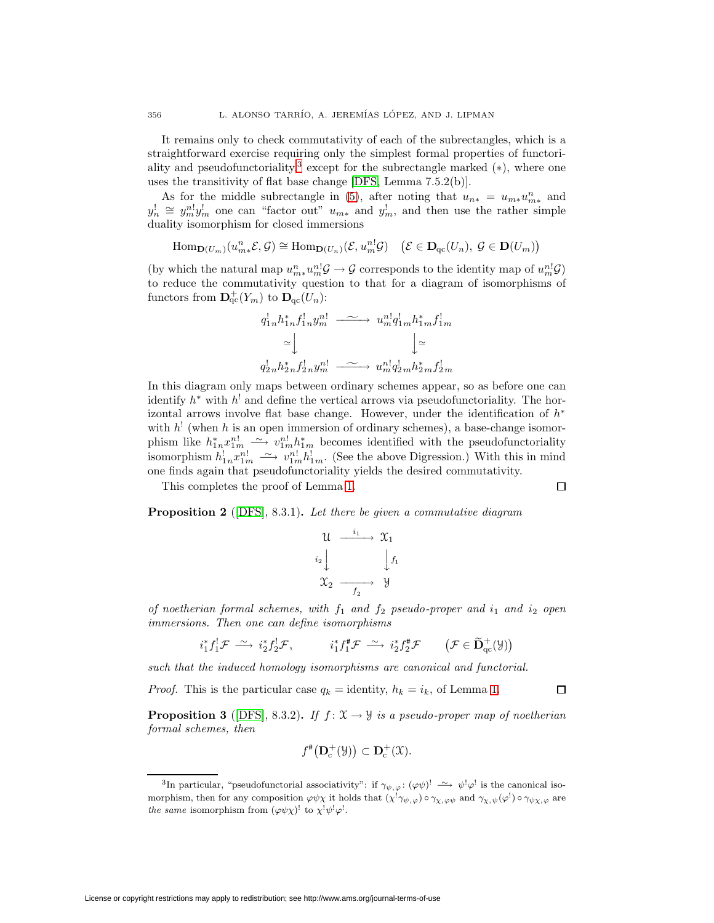It remains only to check commutativity of each of the subrectangles, which is a straightforward exercise requiring only the simplest formal properties of functori-ality and pseudofunctoriality,<sup>[3](#page-5-0)</sup> except for the subrectangle marked  $(*),$  where one uses the transitivity of flat base change [\[DFS,](#page-6-0) Lemma 7.5.2(b)].

As for the middle subrectangle in [\(5\)](#page-4-0), after noting that  $u_{n*} = u_{m*}u_{m*}^n$  and  $y_n^{\dagger} \cong y_m^{n} y_m^{\dagger}$  one can "factor out"  $u_{m*}$  and  $y_m^{\dagger}$ , and then use the rather simple duality isomorphism for closed immersions

 $\text{Hom}_{\mathbf{D}(U_m)}(u_{m*}^n \mathcal{E}, \mathcal{G}) \cong \text{Hom}_{\mathbf{D}(U_n)}(\mathcal{E}, u_m^{n!} \mathcal{G}) \quad (\mathcal{E} \in \mathbf{D}_{\text{qc}}(U_n), \mathcal{G} \in \mathbf{D}(U_m))$ 

(by which the natural map  $u_{m*}^n u_m^{n} \mathcal{G} \to \mathcal{G}$  corresponds to the identity map of  $u_m^{n} \mathcal{G}$ ) to reduce the commutativity question to that for a diagram of isomorphisms of functors from  $\mathbf{D}_{\text{qc}}^+(Y_m)$  to  $\mathbf{D}_{\text{qc}}(U_n)$ :

$$
q'_{1n}h_{1n}^*f_{1n}^!y_m^{n!} \xrightarrow{\sim} u_m^{n!}q'_{1m}h_{1m}^*f_{1m}^!
$$
  
\n
$$
\simeq \bigcup_{q'_{2n}h_{2n}^*f_{2n}^!y_m^{n!} \xrightarrow{\sim} u_m^{n!}q'_{2m}h_{2m}^*f_{2m}^!
$$

In this diagram only maps between ordinary schemes appear, so as before one can identify  $h^*$  with  $h^!$  and define the vertical arrows via pseudofunctoriality. The horizontal arrows involve flat base change. However, under the identification of  $h^*$ with  $h^!$  (when h is an open immersion of ordinary schemes), a base-change isomorphism like  $h_{1n}^* x_{1m}^{n!} \longrightarrow v_{1m}^{n!} h_{1m}^*$  becomes identified with the pseudofunctoriality isomorphism  $h_{1n}^l x_{1m}^{n!} \longrightarrow v_{1m}^{n!} h_{1m}^l$ . (See the above Digression.) With this in mind one finds again that pseudofunctoriality yields the desired commutativity.

 $\Box$ 

 $\Box$ 

This completes the proof of Lemma [1.](#page-1-0)

**Proposition 2** ([\[DFS\]](#page-6-0), 8.3.1). Let there be given a commutative diagram

$$
\begin{array}{ccc}\n\mathcal{U} & \xrightarrow{i_1} & \mathcal{X}_1 \\
\downarrow i_2 & & \downarrow f_1 \\
\mathcal{X}_2 & \xrightarrow{f_2} & \mathcal{Y}\n\end{array}
$$

of noetherian formal schemes, with  $f_1$  and  $f_2$  pseudo-proper and  $i_1$  and  $i_2$  open immersions. Then one can define isomorphisms

$$
i_1^* f_1^! \mathcal{F} \xrightarrow{\sim} i_2^* f_2^! \mathcal{F}, \qquad i_1^* f_1^* \mathcal{F} \xrightarrow{\sim} i_2^* f_2^* \mathcal{F} \qquad (\mathcal{F} \in \widetilde{\mathbf{D}}_{\mathrm{qc}}^+(\mathcal{Y}))
$$

such that the induced homology isomorphisms are canonical and functorial.

*Proof.* This is the particular case  $q_k =$  identity,  $h_k = i_k$ , of Lemma [1.](#page-1-0)

**Proposition 3** ([\[DFS\]](#page-6-0), 8.3.2). If  $f: \mathcal{X} \rightarrow \mathcal{Y}$  is a pseudo-proper map of noetherian formal schemes, then

$$
f^{\#}\big(\mathbf{D}_{\mathrm{c}}^{+}(\mathcal{Y})\big) \subset \mathbf{D}_{\mathrm{c}}^{+}(\mathcal{X}).
$$

<span id="page-5-0"></span><sup>&</sup>lt;sup>3</sup>In particular, "pseudofunctorial associativity": if  $\gamma_{\psi,\varphi}$ :  $(\varphi\psi)$ <sup>!</sup>  $\longrightarrow \psi^! \varphi^!$  is the canonical isomorphism, then for any composition  $\varphi\psi\chi$  it holds that  $(\chi^{!}\gamma_{\psi,\varphi}) \circ \gamma_{\chi,\varphi\psi}$  and  $\gamma_{\chi,\psi}(\varphi^{!}) \circ \gamma_{\psi\chi,\varphi}$  are the same isomorphism from  $(\varphi \psi \chi)^!$  to  $\chi^! \psi^! \varphi^!$ .